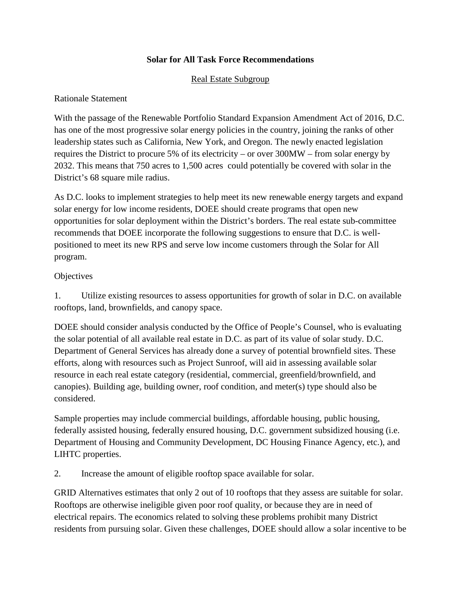### **Solar for All Task Force Recommendations**

### Real Estate Subgroup

#### Rationale Statement

With the passage of the Renewable Portfolio Standard Expansion Amendment Act of 2016, D.C. has one of the most progressive solar energy policies in the country, joining the ranks of other leadership states such as California, New York, and Oregon. The newly enacted legislation requires the District to procure 5% of its electricity – or over 300MW – from solar energy by 2032. This means that 750 acres to 1,500 acres could potentially be covered with solar in the District's 68 square mile radius.

As D.C. looks to implement strategies to help meet its new renewable energy targets and expand solar energy for low income residents, DOEE should create programs that open new opportunities for solar deployment within the District's borders. The real estate sub-committee recommends that DOEE incorporate the following suggestions to ensure that D.C. is wellpositioned to meet its new RPS and serve low income customers through the Solar for All program.

#### **Objectives**

1. Utilize existing resources to assess opportunities for growth of solar in D.C. on available rooftops, land, brownfields, and canopy space.

DOEE should consider analysis conducted by the Office of People's Counsel, who is evaluating the solar potential of all available real estate in D.C. as part of its value of solar study. D.C. Department of General Services has already done a survey of potential brownfield sites. These efforts, along with resources such as Project Sunroof, will aid in assessing available solar resource in each real estate category (residential, commercial, greenfield/brownfield, and canopies). Building age, building owner, roof condition, and meter(s) type should also be considered.

Sample properties may include commercial buildings, affordable housing, public housing, federally assisted housing, federally ensured housing, D.C. government subsidized housing (i.e. Department of Housing and Community Development, DC Housing Finance Agency, etc.), and LIHTC properties.

2. Increase the amount of eligible rooftop space available for solar.

GRID Alternatives estimates that only 2 out of 10 rooftops that they assess are suitable for solar. Rooftops are otherwise ineligible given poor roof quality, or because they are in need of electrical repairs. The economics related to solving these problems prohibit many District residents from pursuing solar. Given these challenges, DOEE should allow a solar incentive to be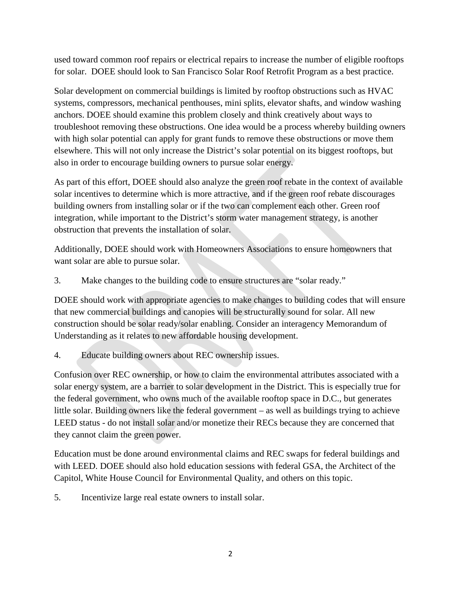used toward common roof repairs or electrical repairs to increase the number of eligible rooftops for solar. DOEE should look to San Francisco Solar Roof Retrofit Program as a best practice.

Solar development on commercial buildings is limited by rooftop obstructions such as HVAC systems, compressors, mechanical penthouses, mini splits, elevator shafts, and window washing anchors. DOEE should examine this problem closely and think creatively about ways to troubleshoot removing these obstructions. One idea would be a process whereby building owners with high solar potential can apply for grant funds to remove these obstructions or move them elsewhere. This will not only increase the District's solar potential on its biggest rooftops, but also in order to encourage building owners to pursue solar energy.

As part of this effort, DOEE should also analyze the green roof rebate in the context of available solar incentives to determine which is more attractive, and if the green roof rebate discourages building owners from installing solar or if the two can complement each other. Green roof integration, while important to the District's storm water management strategy, is another obstruction that prevents the installation of solar.

Additionally, DOEE should work with Homeowners Associations to ensure homeowners that want solar are able to pursue solar.

3. Make changes to the building code to ensure structures are "solar ready."

DOEE should work with appropriate agencies to make changes to building codes that will ensure that new commercial buildings and canopies will be structurally sound for solar. All new construction should be solar ready/solar enabling. Consider an interagency Memorandum of Understanding as it relates to new affordable housing development.

4. Educate building owners about REC ownership issues.

Confusion over REC ownership, or how to claim the environmental attributes associated with a solar energy system, are a barrier to solar development in the District. This is especially true for the federal government, who owns much of the available rooftop space in D.C., but generates little solar. Building owners like the federal government – as well as buildings trying to achieve LEED status - do not install solar and/or monetize their RECs because they are concerned that they cannot claim the green power.

Education must be done around environmental claims and REC swaps for federal buildings and with LEED. DOEE should also hold education sessions with federal GSA, the Architect of the Capitol, White House Council for Environmental Quality, and others on this topic.

5. Incentivize large real estate owners to install solar.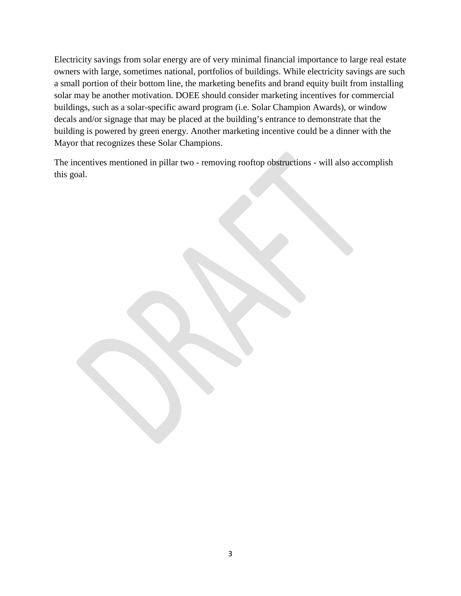Electricity savings from solar energy are of very minimal financial importance to large real estate owners with large, sometimes national, portfolios of buildings. While electricity savings are such a small portion of their bottom line, the marketing benefits and brand equity built from installing solar may be another motivation. DOEE should consider marketing incentives for commercial buildings, such as a solar-specific award program (i.e. Solar Champion Awards), or window decals and/or signage that may be placed at the building's entrance to demonstrate that the building is powered by green energy. Another marketing incentive could be a dinner with the Mayor that recognizes these Solar Champions.

The incentives mentioned in pillar two - removing rooftop obstructions - will also accomplish this goal.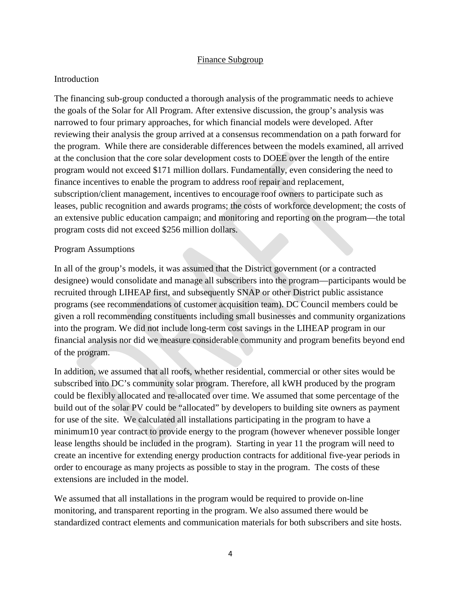#### Finance Subgroup

#### Introduction

The financing sub-group conducted a thorough analysis of the programmatic needs to achieve the goals of the Solar for All Program. After extensive discussion, the group's analysis was narrowed to four primary approaches, for which financial models were developed. After reviewing their analysis the group arrived at a consensus recommendation on a path forward for the program. While there are considerable differences between the models examined, all arrived at the conclusion that the core solar development costs to DOEE over the length of the entire program would not exceed \$171 million dollars. Fundamentally, even considering the need to finance incentives to enable the program to address roof repair and replacement, subscription/client management, incentives to encourage roof owners to participate such as leases, public recognition and awards programs; the costs of workforce development; the costs of an extensive public education campaign; and monitoring and reporting on the program—the total program costs did not exceed \$256 million dollars.

#### Program Assumptions

In all of the group's models, it was assumed that the District government (or a contracted designee) would consolidate and manage all subscribers into the program—participants would be recruited through LIHEAP first, and subsequently SNAP or other District public assistance programs (see recommendations of customer acquisition team). DC Council members could be given a roll recommending constituents including small businesses and community organizations into the program. We did not include long-term cost savings in the LIHEAP program in our financial analysis nor did we measure considerable community and program benefits beyond end of the program.

In addition, we assumed that all roofs, whether residential, commercial or other sites would be subscribed into DC's community solar program. Therefore, all kWH produced by the program could be flexibly allocated and re-allocated over time. We assumed that some percentage of the build out of the solar PV could be "allocated" by developers to building site owners as payment for use of the site. We calculated all installations participating in the program to have a minimum10 year contract to provide energy to the program (however whenever possible longer lease lengths should be included in the program). Starting in year 11 the program will need to create an incentive for extending energy production contracts for additional five-year periods in order to encourage as many projects as possible to stay in the program. The costs of these extensions are included in the model.

We assumed that all installations in the program would be required to provide on-line monitoring, and transparent reporting in the program. We also assumed there would be standardized contract elements and communication materials for both subscribers and site hosts.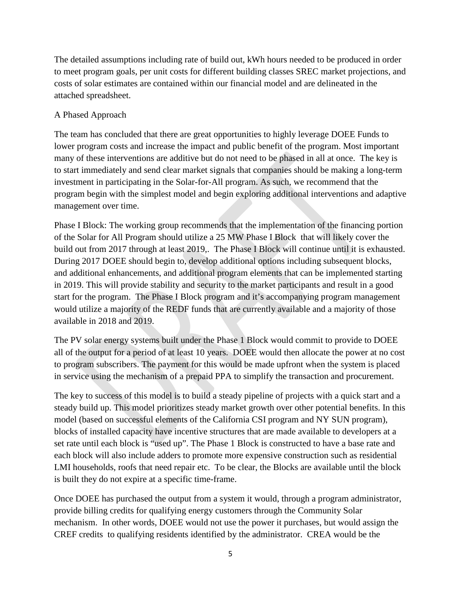The detailed assumptions including rate of build out, kWh hours needed to be produced in order to meet program goals, per unit costs for different building classes SREC market projections, and costs of solar estimates are contained within our financial model and are delineated in the attached spreadsheet.

## A Phased Approach

The team has concluded that there are great opportunities to highly leverage DOEE Funds to lower program costs and increase the impact and public benefit of the program. Most important many of these interventions are additive but do not need to be phased in all at once. The key is to start immediately and send clear market signals that companies should be making a long-term investment in participating in the Solar-for-All program. As such, we recommend that the program begin with the simplest model and begin exploring additional interventions and adaptive management over time.

Phase I Block: The working group recommends that the implementation of the financing portion of the Solar for All Program should utilize a 25 MW Phase I Block that will likely cover the build out from 2017 through at least 2019,. The Phase I Block will continue until it is exhausted. During 2017 DOEE should begin to, develop additional options including subsequent blocks, and additional enhancements, and additional program elements that can be implemented starting in 2019. This will provide stability and security to the market participants and result in a good start for the program. The Phase I Block program and it's accompanying program management would utilize a majority of the REDF funds that are currently available and a majority of those available in 2018 and 2019.

The PV solar energy systems built under the Phase 1 Block would commit to provide to DOEE all of the output for a period of at least 10 years. DOEE would then allocate the power at no cost to program subscribers. The payment for this would be made upfront when the system is placed in service using the mechanism of a prepaid PPA to simplify the transaction and procurement.

The key to success of this model is to build a steady pipeline of projects with a quick start and a steady build up. This model prioritizes steady market growth over other potential benefits. In this model (based on successful elements of the California CSI program and NY SUN program), blocks of installed capacity have incentive structures that are made available to developers at a set rate until each block is "used up". The Phase 1 Block is constructed to have a base rate and each block will also include adders to promote more expensive construction such as residential LMI households, roofs that need repair etc. To be clear, the Blocks are available until the block is built they do not expire at a specific time-frame.

Once DOEE has purchased the output from a system it would, through a program administrator, provide billing credits for qualifying energy customers through the Community Solar mechanism. In other words, DOEE would not use the power it purchases, but would assign the CREF credits to qualifying residents identified by the administrator. CREA would be the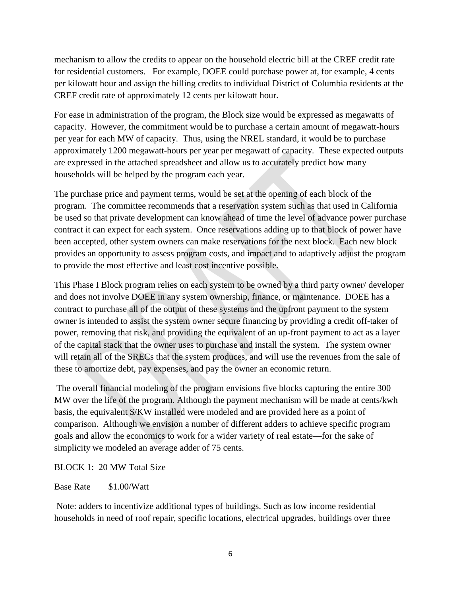mechanism to allow the credits to appear on the household electric bill at the CREF credit rate for residential customers. For example, DOEE could purchase power at, for example, 4 cents per kilowatt hour and assign the billing credits to individual District of Columbia residents at the CREF credit rate of approximately 12 cents per kilowatt hour.

For ease in administration of the program, the Block size would be expressed as megawatts of capacity. However, the commitment would be to purchase a certain amount of megawatt-hours per year for each MW of capacity. Thus, using the NREL standard, it would be to purchase approximately 1200 megawatt-hours per year per megawatt of capacity. These expected outputs are expressed in the attached spreadsheet and allow us to accurately predict how many households will be helped by the program each year.

The purchase price and payment terms, would be set at the opening of each block of the program. The committee recommends that a reservation system such as that used in California be used so that private development can know ahead of time the level of advance power purchase contract it can expect for each system. Once reservations adding up to that block of power have been accepted, other system owners can make reservations for the next block. Each new block provides an opportunity to assess program costs, and impact and to adaptively adjust the program to provide the most effective and least cost incentive possible.

This Phase I Block program relies on each system to be owned by a third party owner/ developer and does not involve DOEE in any system ownership, finance, or maintenance. DOEE has a contract to purchase all of the output of these systems and the upfront payment to the system owner is intended to assist the system owner secure financing by providing a credit off-taker of power, removing that risk, and providing the equivalent of an up-front payment to act as a layer of the capital stack that the owner uses to purchase and install the system. The system owner will retain all of the SRECs that the system produces, and will use the revenues from the sale of these to amortize debt, pay expenses, and pay the owner an economic return.

The overall financial modeling of the program envisions five blocks capturing the entire 300 MW over the life of the program. Although the payment mechanism will be made at cents/kwh basis, the equivalent \$/KW installed were modeled and are provided here as a point of comparison. Although we envision a number of different adders to achieve specific program goals and allow the economics to work for a wider variety of real estate—for the sake of simplicity we modeled an average adder of 75 cents.

#### BLOCK 1: 20 MW Total Size

#### Base Rate \$1.00/Watt

Note: adders to incentivize additional types of buildings. Such as low income residential households in need of roof repair, specific locations, electrical upgrades, buildings over three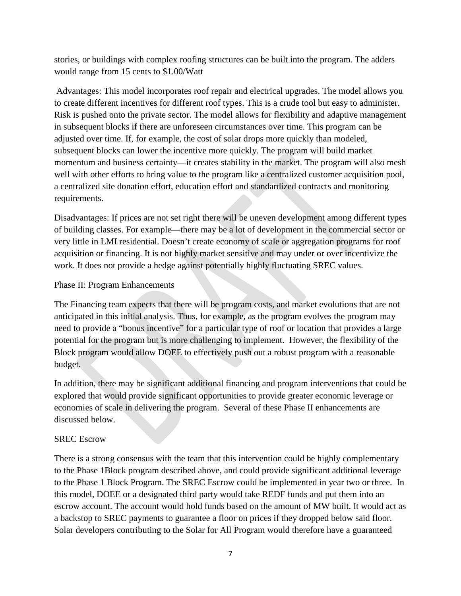stories, or buildings with complex roofing structures can be built into the program. The adders would range from 15 cents to \$1.00/Watt

Advantages: This model incorporates roof repair and electrical upgrades. The model allows you to create different incentives for different roof types. This is a crude tool but easy to administer. Risk is pushed onto the private sector. The model allows for flexibility and adaptive management in subsequent blocks if there are unforeseen circumstances over time. This program can be adjusted over time. If, for example, the cost of solar drops more quickly than modeled, subsequent blocks can lower the incentive more quickly. The program will build market momentum and business certainty—it creates stability in the market. The program will also mesh well with other efforts to bring value to the program like a centralized customer acquisition pool, a centralized site donation effort, education effort and standardized contracts and monitoring requirements.

Disadvantages: If prices are not set right there will be uneven development among different types of building classes. For example—there may be a lot of development in the commercial sector or very little in LMI residential. Doesn't create economy of scale or aggregation programs for roof acquisition or financing. It is not highly market sensitive and may under or over incentivize the work. It does not provide a hedge against potentially highly fluctuating SREC values.

#### Phase II: Program Enhancements

The Financing team expects that there will be program costs, and market evolutions that are not anticipated in this initial analysis. Thus, for example, as the program evolves the program may need to provide a "bonus incentive" for a particular type of roof or location that provides a large potential for the program but is more challenging to implement. However, the flexibility of the Block program would allow DOEE to effectively push out a robust program with a reasonable budget.

In addition, there may be significant additional financing and program interventions that could be explored that would provide significant opportunities to provide greater economic leverage or economies of scale in delivering the program. Several of these Phase II enhancements are discussed below.

#### SREC Escrow

There is a strong consensus with the team that this intervention could be highly complementary to the Phase 1Block program described above, and could provide significant additional leverage to the Phase 1 Block Program. The SREC Escrow could be implemented in year two or three. In this model, DOEE or a designated third party would take REDF funds and put them into an escrow account. The account would hold funds based on the amount of MW built. It would act as a backstop to SREC payments to guarantee a floor on prices if they dropped below said floor. Solar developers contributing to the Solar for All Program would therefore have a guaranteed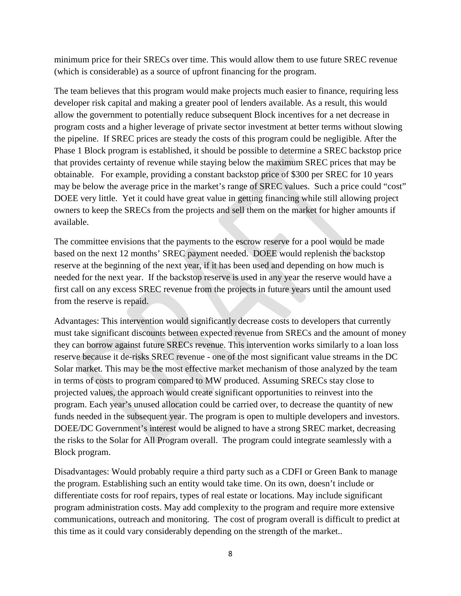minimum price for their SRECs over time. This would allow them to use future SREC revenue (which is considerable) as a source of upfront financing for the program.

The team believes that this program would make projects much easier to finance, requiring less developer risk capital and making a greater pool of lenders available. As a result, this would allow the government to potentially reduce subsequent Block incentives for a net decrease in program costs and a higher leverage of private sector investment at better terms without slowing the pipeline. If SREC prices are steady the costs of this program could be negligible. After the Phase 1 Block program is established, it should be possible to determine a SREC backstop price that provides certainty of revenue while staying below the maximum SREC prices that may be obtainable. For example, providing a constant backstop price of \$300 per SREC for 10 years may be below the average price in the market's range of SREC values. Such a price could "cost" DOEE very little. Yet it could have great value in getting financing while still allowing project owners to keep the SRECs from the projects and sell them on the market for higher amounts if available.

The committee envisions that the payments to the escrow reserve for a pool would be made based on the next 12 months' SREC payment needed. DOEE would replenish the backstop reserve at the beginning of the next year, if it has been used and depending on how much is needed for the next year. If the backstop reserve is used in any year the reserve would have a first call on any excess SREC revenue from the projects in future years until the amount used from the reserve is repaid.

Advantages: This intervention would significantly decrease costs to developers that currently must take significant discounts between expected revenue from SRECs and the amount of money they can borrow against future SRECs revenue. This intervention works similarly to a loan loss reserve because it de-risks SREC revenue - one of the most significant value streams in the DC Solar market. This may be the most effective market mechanism of those analyzed by the team in terms of costs to program compared to MW produced. Assuming SRECs stay close to projected values, the approach would create significant opportunities to reinvest into the program. Each year's unused allocation could be carried over, to decrease the quantity of new funds needed in the subsequent year. The program is open to multiple developers and investors. DOEE/DC Government's interest would be aligned to have a strong SREC market, decreasing the risks to the Solar for All Program overall. The program could integrate seamlessly with a Block program.

Disadvantages: Would probably require a third party such as a CDFI or Green Bank to manage the program. Establishing such an entity would take time. On its own, doesn't include or differentiate costs for roof repairs, types of real estate or locations. May include significant program administration costs. May add complexity to the program and require more extensive communications, outreach and monitoring. The cost of program overall is difficult to predict at this time as it could vary considerably depending on the strength of the market..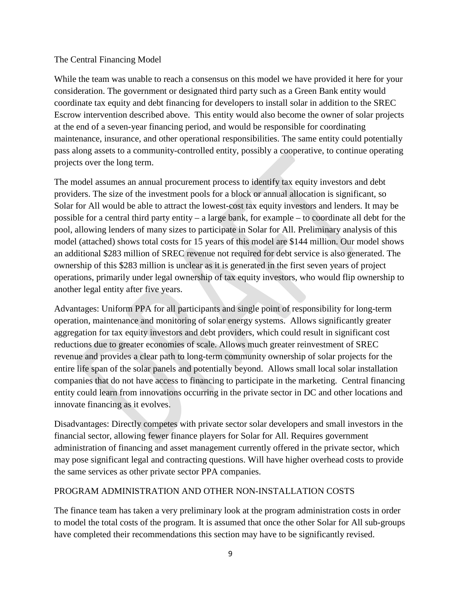#### The Central Financing Model

While the team was unable to reach a consensus on this model we have provided it here for your consideration. The government or designated third party such as a Green Bank entity would coordinate tax equity and debt financing for developers to install solar in addition to the SREC Escrow intervention described above. This entity would also become the owner of solar projects at the end of a seven-year financing period, and would be responsible for coordinating maintenance, insurance, and other operational responsibilities. The same entity could potentially pass along assets to a community-controlled entity, possibly a cooperative, to continue operating projects over the long term.

The model assumes an annual procurement process to identify tax equity investors and debt providers. The size of the investment pools for a block or annual allocation is significant, so Solar for All would be able to attract the lowest-cost tax equity investors and lenders. It may be possible for a central third party entity – a large bank, for example – to coordinate all debt for the pool, allowing lenders of many sizes to participate in Solar for All. Preliminary analysis of this model (attached) shows total costs for 15 years of this model are \$144 million. Our model shows an additional \$283 million of SREC revenue not required for debt service is also generated. The ownership of this \$283 million is unclear as it is generated in the first seven years of project operations, primarily under legal ownership of tax equity investors, who would flip ownership to another legal entity after five years.

Advantages: Uniform PPA for all participants and single point of responsibility for long-term operation, maintenance and monitoring of solar energy systems. Allows significantly greater aggregation for tax equity investors and debt providers, which could result in significant cost reductions due to greater economies of scale. Allows much greater reinvestment of SREC revenue and provides a clear path to long-term community ownership of solar projects for the entire life span of the solar panels and potentially beyond. Allows small local solar installation companies that do not have access to financing to participate in the marketing. Central financing entity could learn from innovations occurring in the private sector in DC and other locations and innovate financing as it evolves.

Disadvantages: Directly competes with private sector solar developers and small investors in the financial sector, allowing fewer finance players for Solar for All. Requires government administration of financing and asset management currently offered in the private sector, which may pose significant legal and contracting questions. Will have higher overhead costs to provide the same services as other private sector PPA companies.

#### PROGRAM ADMINISTRATION AND OTHER NON-INSTALLATION COSTS

The finance team has taken a very preliminary look at the program administration costs in order to model the total costs of the program. It is assumed that once the other Solar for All sub-groups have completed their recommendations this section may have to be significantly revised.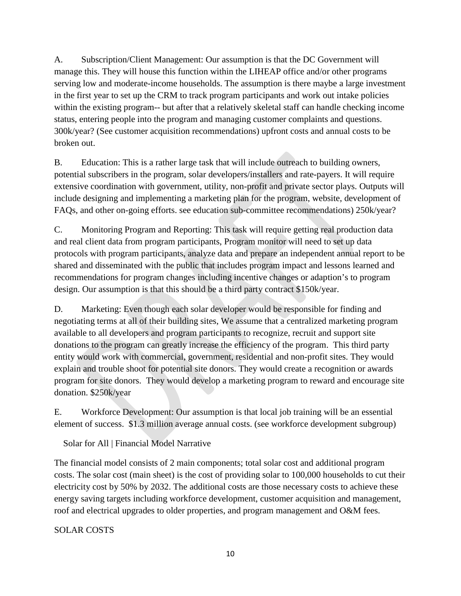A. Subscription/Client Management: Our assumption is that the DC Government will manage this. They will house this function within the LIHEAP office and/or other programs serving low and moderate-income households. The assumption is there maybe a large investment in the first year to set up the CRM to track program participants and work out intake policies within the existing program-- but after that a relatively skeletal staff can handle checking income status, entering people into the program and managing customer complaints and questions. 300k/year? (See customer acquisition recommendations) upfront costs and annual costs to be broken out.

B. Education: This is a rather large task that will include outreach to building owners, potential subscribers in the program, solar developers/installers and rate-payers. It will require extensive coordination with government, utility, non-profit and private sector plays. Outputs will include designing and implementing a marketing plan for the program, website, development of FAQs, and other on-going efforts. see education sub-committee recommendations) 250k/year?

C. Monitoring Program and Reporting: This task will require getting real production data and real client data from program participants, Program monitor will need to set up data protocols with program participants, analyze data and prepare an independent annual report to be shared and disseminated with the public that includes program impact and lessons learned and recommendations for program changes including incentive changes or adaption's to program design. Our assumption is that this should be a third party contract \$150k/year.

D. Marketing: Even though each solar developer would be responsible for finding and negotiating terms at all of their building sites, We assume that a centralized marketing program available to all developers and program participants to recognize, recruit and support site donations to the program can greatly increase the efficiency of the program. This third party entity would work with commercial, government, residential and non-profit sites. They would explain and trouble shoot for potential site donors. They would create a recognition or awards program for site donors. They would develop a marketing program to reward and encourage site donation. \$250k/year

E. Workforce Development: Our assumption is that local job training will be an essential element of success. \$1.3 million average annual costs. (see workforce development subgroup)

Solar for All | Financial Model Narrative

The financial model consists of 2 main components; total solar cost and additional program costs. The solar cost (main sheet) is the cost of providing solar to 100,000 households to cut their electricity cost by 50% by 2032. The additional costs are those necessary costs to achieve these energy saving targets including workforce development, customer acquisition and management, roof and electrical upgrades to older properties, and program management and O&M fees.

SOLAR COSTS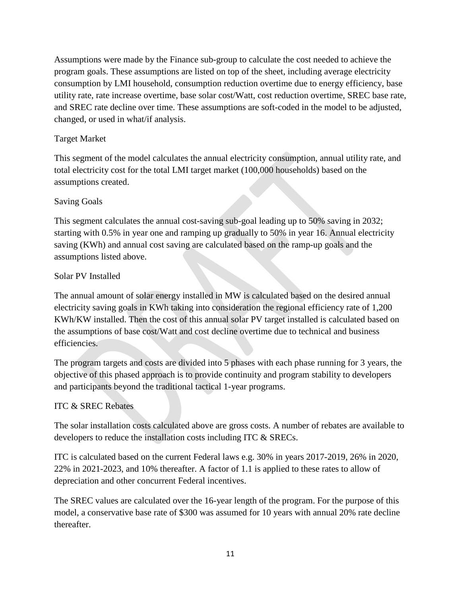Assumptions were made by the Finance sub-group to calculate the cost needed to achieve the program goals. These assumptions are listed on top of the sheet, including average electricity consumption by LMI household, consumption reduction overtime due to energy efficiency, base utility rate, rate increase overtime, base solar cost/Watt, cost reduction overtime, SREC base rate, and SREC rate decline over time. These assumptions are soft-coded in the model to be adjusted, changed, or used in what/if analysis.

# Target Market

This segment of the model calculates the annual electricity consumption, annual utility rate, and total electricity cost for the total LMI target market (100,000 households) based on the assumptions created.

## Saving Goals

This segment calculates the annual cost-saving sub-goal leading up to 50% saving in 2032; starting with 0.5% in year one and ramping up gradually to 50% in year 16. Annual electricity saving (KWh) and annual cost saving are calculated based on the ramp-up goals and the assumptions listed above.

## Solar PV Installed

The annual amount of solar energy installed in MW is calculated based on the desired annual electricity saving goals in KWh taking into consideration the regional efficiency rate of 1,200 KWh/KW installed. Then the cost of this annual solar PV target installed is calculated based on the assumptions of base cost/Watt and cost decline overtime due to technical and business efficiencies.

The program targets and costs are divided into 5 phases with each phase running for 3 years, the objective of this phased approach is to provide continuity and program stability to developers and participants beyond the traditional tactical 1-year programs.

# ITC & SREC Rebates

The solar installation costs calculated above are gross costs. A number of rebates are available to developers to reduce the installation costs including ITC & SRECs.

ITC is calculated based on the current Federal laws e.g. 30% in years 2017-2019, 26% in 2020, 22% in 2021-2023, and 10% thereafter. A factor of 1.1 is applied to these rates to allow of depreciation and other concurrent Federal incentives.

The SREC values are calculated over the 16-year length of the program. For the purpose of this model, a conservative base rate of \$300 was assumed for 10 years with annual 20% rate decline thereafter.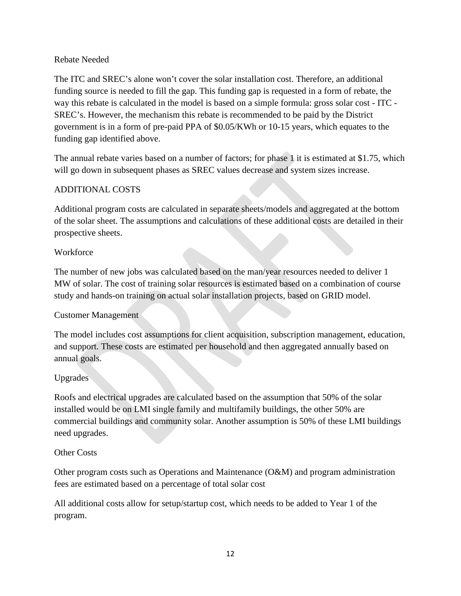#### Rebate Needed

The ITC and SREC's alone won't cover the solar installation cost. Therefore, an additional funding source is needed to fill the gap. This funding gap is requested in a form of rebate, the way this rebate is calculated in the model is based on a simple formula: gross solar cost - ITC - SREC's. However, the mechanism this rebate is recommended to be paid by the District government is in a form of pre-paid PPA of \$0.05/KWh or 10-15 years, which equates to the funding gap identified above.

The annual rebate varies based on a number of factors; for phase 1 it is estimated at \$1.75, which will go down in subsequent phases as SREC values decrease and system sizes increase.

## ADDITIONAL COSTS

Additional program costs are calculated in separate sheets/models and aggregated at the bottom of the solar sheet. The assumptions and calculations of these additional costs are detailed in their prospective sheets.

#### **Workforce**

The number of new jobs was calculated based on the man/year resources needed to deliver 1 MW of solar. The cost of training solar resources is estimated based on a combination of course study and hands-on training on actual solar installation projects, based on GRID model.

#### Customer Management

The model includes cost assumptions for client acquisition, subscription management, education, and support. These costs are estimated per household and then aggregated annually based on annual goals.

#### Upgrades

Roofs and electrical upgrades are calculated based on the assumption that 50% of the solar installed would be on LMI single family and multifamily buildings, the other 50% are commercial buildings and community solar. Another assumption is 50% of these LMI buildings need upgrades.

#### Other Costs

Other program costs such as Operations and Maintenance (O&M) and program administration fees are estimated based on a percentage of total solar cost

All additional costs allow for setup/startup cost, which needs to be added to Year 1 of the program.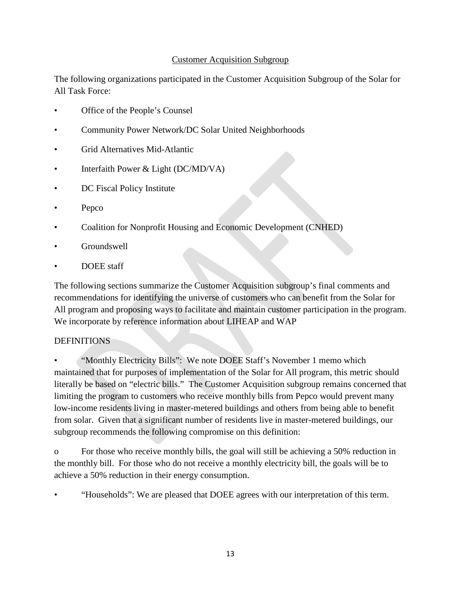### Customer Acquisition Subgroup

The following organizations participated in the Customer Acquisition Subgroup of the Solar for All Task Force:

- Office of the People's Counsel
- Community Power Network/DC Solar United Neighborhoods
- Grid Alternatives Mid-Atlantic
- Interfaith Power & Light (DC/MD/VA)
- DC Fiscal Policy Institute
- Pepco
- Coalition for Nonprofit Housing and Economic Development (CNHED)
- Groundswell
- DOEE staff

The following sections summarize the Customer Acquisition subgroup's final comments and recommendations for identifying the universe of customers who can benefit from the Solar for All program and proposing ways to facilitate and maintain customer participation in the program. We incorporate by reference information about LIHEAP and WAP

#### DEFINITIONS

• "Monthly Electricity Bills": We note DOEE Staff's November 1 memo which maintained that for purposes of implementation of the Solar for All program, this metric should literally be based on "electric bills." The Customer Acquisition subgroup remains concerned that limiting the program to customers who receive monthly bills from Pepco would prevent many low-income residents living in master-metered buildings and others from being able to benefit from solar. Given that a significant number of residents live in master-metered buildings, our subgroup recommends the following compromise on this definition:

o For those who receive monthly bills, the goal will still be achieving a 50% reduction in the monthly bill. For those who do not receive a monthly electricity bill, the goals will be to achieve a 50% reduction in their energy consumption.

• "Households": We are pleased that DOEE agrees with our interpretation of this term.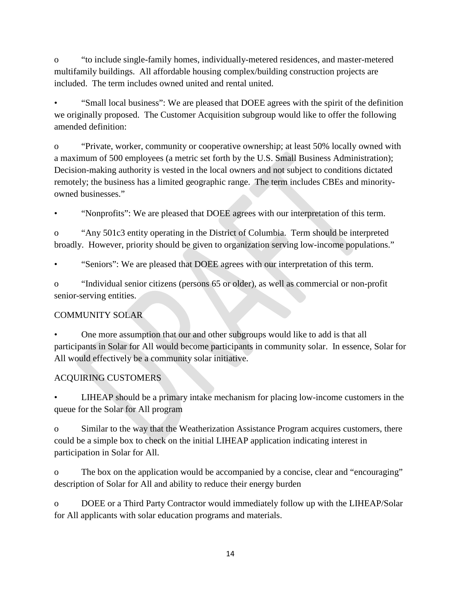o "to include single-family homes, individually-metered residences, and master-metered multifamily buildings. All affordable housing complex/building construction projects are included. The term includes owned united and rental united.

• "Small local business": We are pleased that DOEE agrees with the spirit of the definition we originally proposed. The Customer Acquisition subgroup would like to offer the following amended definition:

o "Private, worker, community or cooperative ownership; at least 50% locally owned with a maximum of 500 employees (a metric set forth by the U.S. Small Business Administration); Decision-making authority is vested in the local owners and not subject to conditions dictated remotely; the business has a limited geographic range. The term includes CBEs and minorityowned businesses."

• "Nonprofits": We are pleased that DOEE agrees with our interpretation of this term.

o "Any 501c3 entity operating in the District of Columbia. Term should be interpreted broadly. However, priority should be given to organization serving low-income populations."

• "Seniors": We are pleased that DOEE agrees with our interpretation of this term.

o "Individual senior citizens (persons 65 or older), as well as commercial or non-profit senior-serving entities.

# COMMUNITY SOLAR

• One more assumption that our and other subgroups would like to add is that all participants in Solar for All would become participants in community solar. In essence, Solar for All would effectively be a community solar initiative.

# ACQUIRING CUSTOMERS

• LIHEAP should be a primary intake mechanism for placing low-income customers in the queue for the Solar for All program

o Similar to the way that the Weatherization Assistance Program acquires customers, there could be a simple box to check on the initial LIHEAP application indicating interest in participation in Solar for All.

o The box on the application would be accompanied by a concise, clear and "encouraging" description of Solar for All and ability to reduce their energy burden

o DOEE or a Third Party Contractor would immediately follow up with the LIHEAP/Solar for All applicants with solar education programs and materials.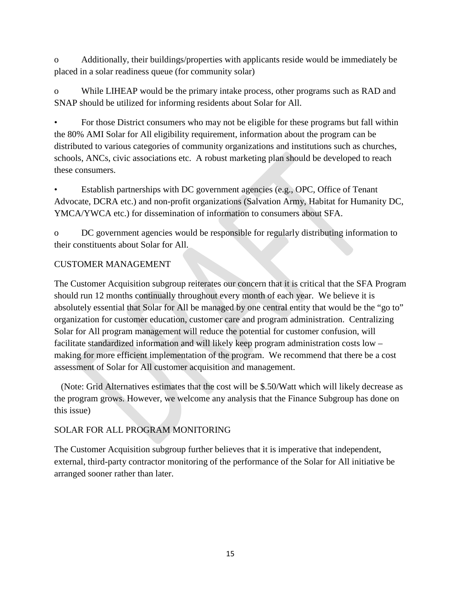o Additionally, their buildings/properties with applicants reside would be immediately be placed in a solar readiness queue (for community solar)

o While LIHEAP would be the primary intake process, other programs such as RAD and SNAP should be utilized for informing residents about Solar for All.

• For those District consumers who may not be eligible for these programs but fall within the 80% AMI Solar for All eligibility requirement, information about the program can be distributed to various categories of community organizations and institutions such as churches, schools, ANCs, civic associations etc. A robust marketing plan should be developed to reach these consumers.

• Establish partnerships with DC government agencies (e.g., OPC, Office of Tenant Advocate, DCRA etc.) and non-profit organizations (Salvation Army, Habitat for Humanity DC, YMCA/YWCA etc.) for dissemination of information to consumers about SFA.

o DC government agencies would be responsible for regularly distributing information to their constituents about Solar for All.

## CUSTOMER MANAGEMENT

The Customer Acquisition subgroup reiterates our concern that it is critical that the SFA Program should run 12 months continually throughout every month of each year. We believe it is absolutely essential that Solar for All be managed by one central entity that would be the "go to" organization for customer education, customer care and program administration. Centralizing Solar for All program management will reduce the potential for customer confusion, will facilitate standardized information and will likely keep program administration costs low – making for more efficient implementation of the program. We recommend that there be a cost assessment of Solar for All customer acquisition and management.

 (Note: Grid Alternatives estimates that the cost will be \$.50/Watt which will likely decrease as the program grows. However, we welcome any analysis that the Finance Subgroup has done on this issue)

# SOLAR FOR ALL PROGRAM MONITORING

The Customer Acquisition subgroup further believes that it is imperative that independent, external, third-party contractor monitoring of the performance of the Solar for All initiative be arranged sooner rather than later.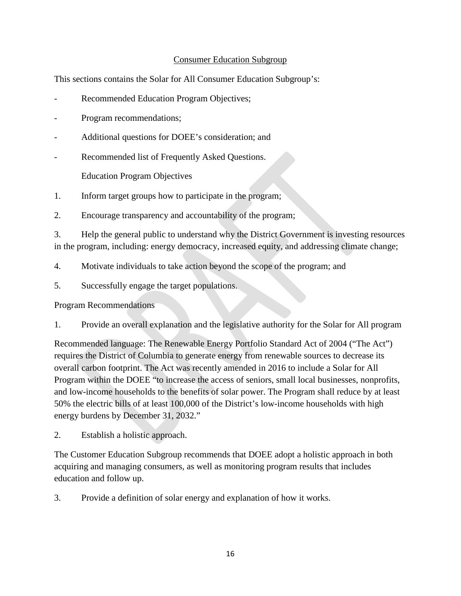#### Consumer Education Subgroup

This sections contains the Solar for All Consumer Education Subgroup's:

- Recommended Education Program Objectives;
- Program recommendations;
- Additional questions for DOEE's consideration; and
- Recommended list of Frequently Asked Questions.

Education Program Objectives

- 1. Inform target groups how to participate in the program;
- 2. Encourage transparency and accountability of the program;

3. Help the general public to understand why the District Government is investing resources in the program, including: energy democracy, increased equity, and addressing climate change;

- 4. Motivate individuals to take action beyond the scope of the program; and
- 5. Successfully engage the target populations.

#### Program Recommendations

1. Provide an overall explanation and the legislative authority for the Solar for All program

Recommended language: The Renewable Energy Portfolio Standard Act of 2004 ("The Act") requires the District of Columbia to generate energy from renewable sources to decrease its overall carbon footprint. The Act was recently amended in 2016 to include a Solar for All Program within the DOEE "to increase the access of seniors, small local businesses, nonprofits, and low-income households to the benefits of solar power. The Program shall reduce by at least 50% the electric bills of at least 100,000 of the District's low-income households with high energy burdens by December 31, 2032."

2. Establish a holistic approach.

The Customer Education Subgroup recommends that DOEE adopt a holistic approach in both acquiring and managing consumers, as well as monitoring program results that includes education and follow up.

3. Provide a definition of solar energy and explanation of how it works.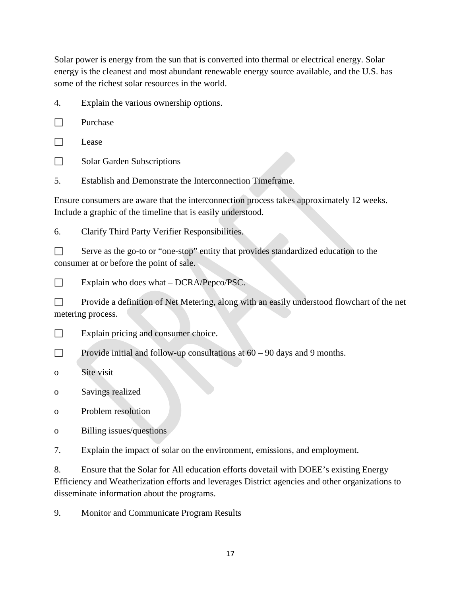Solar power is energy from the sun that is converted into thermal or electrical energy. Solar energy is the cleanest and most abundant renewable energy source available, and the U.S. has some of the richest solar resources in the world.

4. Explain the various ownership options.

 $\Box$  Purchase

 $\Box$  Lease

Solar Garden Subscriptions

5. Establish and Demonstrate the Interconnection Timeframe.

Ensure consumers are aware that the interconnection process takes approximately 12 weeks. Include a graphic of the timeline that is easily understood.

6. Clarify Third Party Verifier Responsibilities.

Serve as the go-to or "one-stop" entity that provides standardized education to the consumer at or before the point of sale.

 $\Box$  Explain who does what – DCRA/Pepco/PSC.

Provide a definition of Net Metering, along with an easily understood flowchart of the net metering process.

 $\Box$  Explain pricing and consumer choice.

Provide initial and follow-up consultations at  $60 - 90$  days and 9 months.

o Site visit

o Savings realized

o Problem resolution

o Billing issues/questions

7. Explain the impact of solar on the environment, emissions, and employment.

8. Ensure that the Solar for All education efforts dovetail with DOEE's existing Energy Efficiency and Weatherization efforts and leverages District agencies and other organizations to disseminate information about the programs.

9. Monitor and Communicate Program Results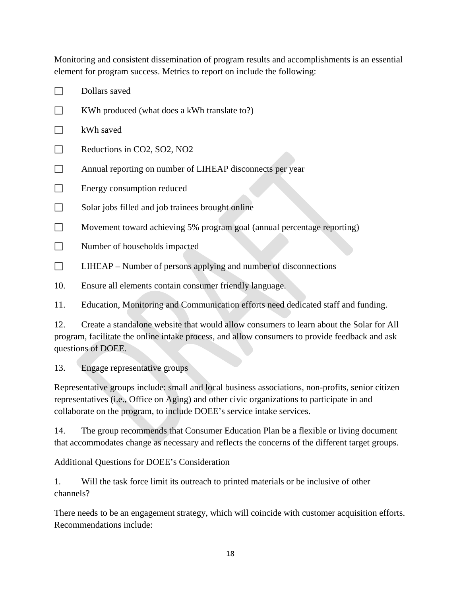Monitoring and consistent dissemination of program results and accomplishments is an essential element for program success. Metrics to report on include the following:

 $\Box$  Dollars saved  $\Box$  KWh produced (what does a kWh translate to?)  $\Box$  kWh saved  $\Box$  Reductions in CO2, SO2, NO2 Annual reporting on number of LIHEAP disconnects per year  $\Box$  Energy consumption reduced  $\Box$  Solar jobs filled and job trainees brought online Movement toward achieving 5% program goal (annual percentage reporting)  $\Box$  Number of households impacted  $\Box$  LIHEAP – Number of persons applying and number of disconnections 10. Ensure all elements contain consumer friendly language.

11. Education, Monitoring and Communication efforts need dedicated staff and funding.

12. Create a standalone website that would allow consumers to learn about the Solar for All program, facilitate the online intake process, and allow consumers to provide feedback and ask questions of DOEE.

13. Engage representative groups

Representative groups include: small and local business associations, non-profits, senior citizen representatives (i.e., Office on Aging) and other civic organizations to participate in and collaborate on the program, to include DOEE's service intake services.

14. The group recommends that Consumer Education Plan be a flexible or living document that accommodates change as necessary and reflects the concerns of the different target groups.

Additional Questions for DOEE's Consideration

1. Will the task force limit its outreach to printed materials or be inclusive of other channels?

There needs to be an engagement strategy, which will coincide with customer acquisition efforts. Recommendations include: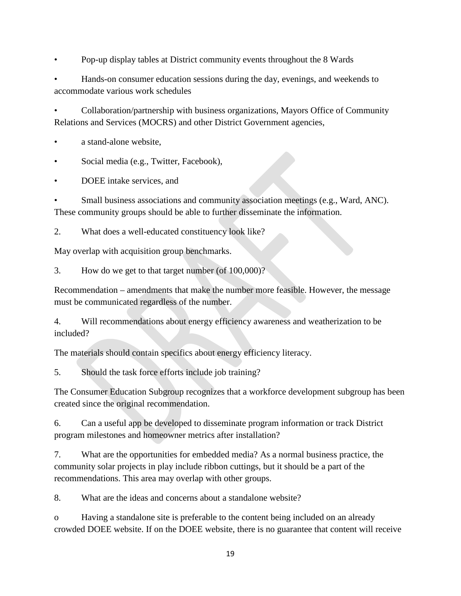• Pop-up display tables at District community events throughout the 8 Wards

• Hands-on consumer education sessions during the day, evenings, and weekends to accommodate various work schedules

• Collaboration/partnership with business organizations, Mayors Office of Community Relations and Services (MOCRS) and other District Government agencies,

- a stand-alone website.
- Social media (e.g., Twitter, Facebook),
- DOEE intake services, and

• Small business associations and community association meetings (e.g., Ward, ANC). These community groups should be able to further disseminate the information.

2. What does a well-educated constituency look like?

May overlap with acquisition group benchmarks.

3. How do we get to that target number (of 100,000)?

Recommendation – amendments that make the number more feasible. However, the message must be communicated regardless of the number.

4. Will recommendations about energy efficiency awareness and weatherization to be included?

The materials should contain specifics about energy efficiency literacy.

5. Should the task force efforts include job training?

The Consumer Education Subgroup recognizes that a workforce development subgroup has been created since the original recommendation.

6. Can a useful app be developed to disseminate program information or track District program milestones and homeowner metrics after installation?

7. What are the opportunities for embedded media? As a normal business practice, the community solar projects in play include ribbon cuttings, but it should be a part of the recommendations. This area may overlap with other groups.

8. What are the ideas and concerns about a standalone website?

o Having a standalone site is preferable to the content being included on an already crowded DOEE website. If on the DOEE website, there is no guarantee that content will receive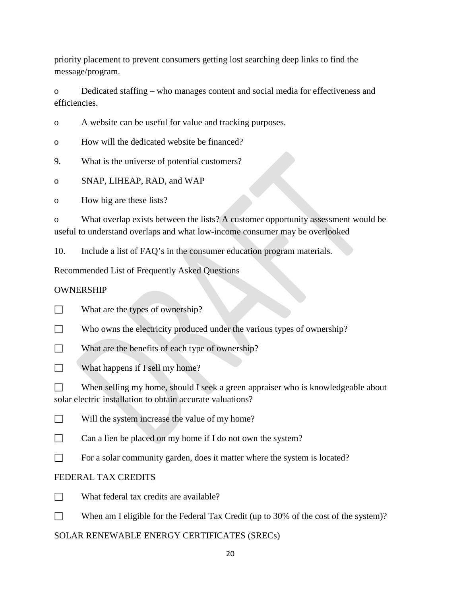priority placement to prevent consumers getting lost searching deep links to find the message/program.

o Dedicated staffing – who manages content and social media for effectiveness and efficiencies.

o A website can be useful for value and tracking purposes.

o How will the dedicated website be financed?

9. What is the universe of potential customers?

o SNAP, LIHEAP, RAD, and WAP

o How big are these lists?

o What overlap exists between the lists? A customer opportunity assessment would be useful to understand overlaps and what low-income consumer may be overlooked

10. Include a list of FAQ's in the consumer education program materials.

Recommended List of Frequently Asked Questions

# OWNERSHIP

What are the types of ownership?

Who owns the electricity produced under the various types of ownership?

What are the benefits of each type of ownership?

What happens if I sell my home?

 $\Box$  When selling my home, should I seek a green appraiser who is knowledgeable about solar electric installation to obtain accurate valuations?

 $\Box$  Will the system increase the value of my home?

 $\Box$  Can a lien be placed on my home if I do not own the system?

 $\Box$  For a solar community garden, does it matter where the system is located?

# FEDERAL TAX CREDITS

- $\square$  What federal tax credits are available?
- When am I eligible for the Federal Tax Credit (up to 30% of the cost of the system)?

SOLAR RENEWABLE ENERGY CERTIFICATES (SRECs)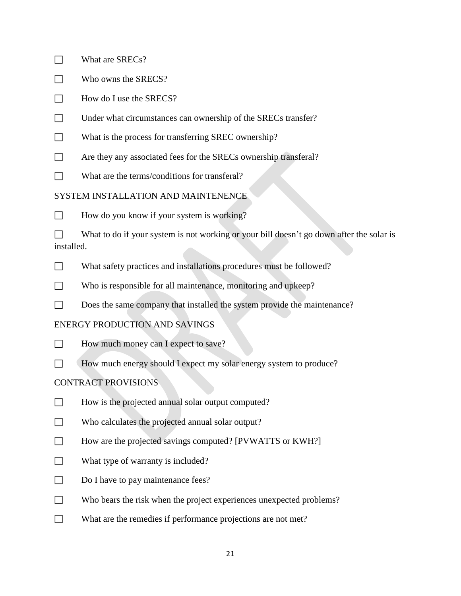- $\Box$  What are SRECs?
- $\Box$  Who owns the SRECS?
- $\Box$  How do I use the SRECS?
- Under what circumstances can ownership of the SRECs transfer?
- What is the process for transferring SREC ownership?
- Are they any associated fees for the SRECs ownership transferal?
- $\Box$  What are the terms/conditions for transferal?

## SYSTEM INSTALLATION AND MAINTENENCE

 $\Box$  How do you know if your system is working?

What to do if your system is not working or your bill doesn't go down after the solar is installed.

- What safety practices and installations procedures must be followed?
- Who is responsible for all maintenance, monitoring and upkeep?
- Does the same company that installed the system provide the maintenance?

#### ENERGY PRODUCTION AND SAVINGS

- $\Box$  How much money can I expect to save?
- How much energy should I expect my solar energy system to produce?

#### CONTRACT PROVISIONS

- $\Box$  How is the projected annual solar output computed?
- $\Box$  Who calculates the projected annual solar output?
- $\Box$  How are the projected savings computed? [PVWATTS or KWH?]
- What type of warranty is included?
- $\Box$  Do I have to pay maintenance fees?
- $\Box$  Who bears the risk when the project experiences unexpected problems?
- What are the remedies if performance projections are not met?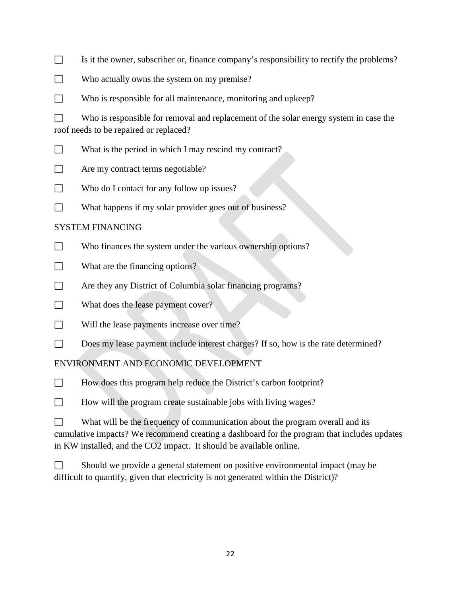- $\Box$  Is it the owner, subscriber or, finance company's responsibility to rectify the problems?
- $\Box$  Who actually owns the system on my premise?
- Who is responsible for all maintenance, monitoring and upkeep?

Who is responsible for removal and replacement of the solar energy system in case the roof needs to be repaired or replaced?

- What is the period in which I may rescind my contract?
- $\Box$  Are my contract terms negotiable?
- $\Box$  Who do I contact for any follow up issues?
- $\Box$  What happens if my solar provider goes out of business?

#### SYSTEM FINANCING

- Who finances the system under the various ownership options?
- What are the financing options?
- Are they any District of Columbia solar financing programs?
- $\Box$  What does the lease payment cover?
- Will the lease payments increase over time?
- Does my lease payment include interest charges? If so, how is the rate determined?

#### ENVIRONMENT AND ECONOMIC DEVELOPMENT

- $\Box$  How does this program help reduce the District's carbon footprint?
- $\Box$  How will the program create sustainable jobs with living wages?
- $\Box$  What will be the frequency of communication about the program overall and its cumulative impacts? We recommend creating a dashboard for the program that includes updates in KW installed, and the CO2 impact. It should be available online.

| Should we provide a general statement on positive environmental impact (may be       |
|--------------------------------------------------------------------------------------|
| difficult to quantify, given that electricity is not generated within the District)? |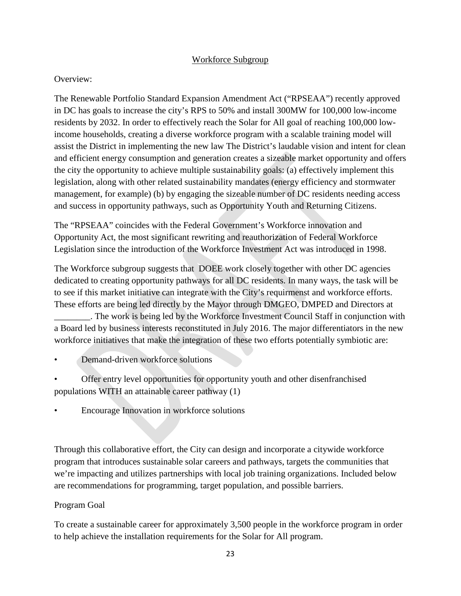#### Workforce Subgroup

### Overview:

The Renewable Portfolio Standard Expansion Amendment Act ("RPSEAA") recently approved in DC has goals to increase the city's RPS to 50% and install 300MW for 100,000 low-income residents by 2032. In order to effectively reach the Solar for All goal of reaching 100,000 lowincome households, creating a diverse workforce program with a scalable training model will assist the District in implementing the new law The District's laudable vision and intent for clean and efficient energy consumption and generation creates a sizeable market opportunity and offers the city the opportunity to achieve multiple sustainability goals: (a) effectively implement this legislation, along with other related sustainability mandates (energy efficiency and stormwater management, for example) (b) by engaging the sizeable number of DC residents needing access and success in opportunity pathways, such as Opportunity Youth and Returning Citizens.

The "RPSEAA" coincides with the Federal Government's Workforce innovation and Opportunity Act, the most significant rewriting and reauthorization of Federal Workforce Legislation since the introduction of the Workforce Investment Act was introduced in 1998.

The Workforce subgroup suggests that DOEE work closely together with other DC agencies dedicated to creating opportunity pathways for all DC residents. In many ways, the task will be to see if this market initiative can integrate with the City's requirmenst and workforce efforts. These efforts are being led directly by the Mayor through DMGEO, DMPED and Directors at

\_\_\_\_\_\_\_\_. The work is being led by the Workforce Investment Council Staff in conjunction with a Board led by business interests reconstituted in July 2016. The major differentiators in the new workforce initiatives that make the integration of these two efforts potentially symbiotic are:

- Demand-driven workforce solutions
- Offer entry level opportunities for opportunity youth and other disenfranchised populations WITH an attainable career pathway (1)
- Encourage Innovation in workforce solutions

Through this collaborative effort, the City can design and incorporate a citywide workforce program that introduces sustainable solar careers and pathways, targets the communities that we're impacting and utilizes partnerships with local job training organizations. Included below are recommendations for programming, target population, and possible barriers.

# Program Goal

To create a sustainable career for approximately 3,500 people in the workforce program in order to help achieve the installation requirements for the Solar for All program.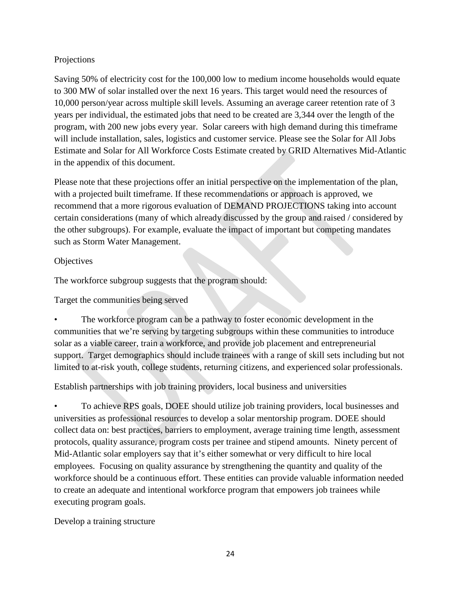# Projections

Saving 50% of electricity cost for the 100,000 low to medium income households would equate to 300 MW of solar installed over the next 16 years. This target would need the resources of 10,000 person/year across multiple skill levels. Assuming an average career retention rate of 3 years per individual, the estimated jobs that need to be created are 3,344 over the length of the program, with 200 new jobs every year. Solar careers with high demand during this timeframe will include installation, sales, logistics and customer service. Please see the Solar for All Jobs Estimate and Solar for All Workforce Costs Estimate created by GRID Alternatives Mid-Atlantic in the appendix of this document.

Please note that these projections offer an initial perspective on the implementation of the plan, with a projected built timeframe. If these recommendations or approach is approved, we recommend that a more rigorous evaluation of DEMAND PROJECTIONS taking into account certain considerations (many of which already discussed by the group and raised / considered by the other subgroups). For example, evaluate the impact of important but competing mandates such as Storm Water Management.

## **Objectives**

The workforce subgroup suggests that the program should:

Target the communities being served

The workforce program can be a pathway to foster economic development in the communities that we're serving by targeting subgroups within these communities to introduce solar as a viable career, train a workforce, and provide job placement and entrepreneurial support. Target demographics should include trainees with a range of skill sets including but not limited to at-risk youth, college students, returning citizens, and experienced solar professionals.

Establish partnerships with job training providers, local business and universities

• To achieve RPS goals, DOEE should utilize job training providers, local businesses and universities as professional resources to develop a solar mentorship program. DOEE should collect data on: best practices, barriers to employment, average training time length, assessment protocols, quality assurance, program costs per trainee and stipend amounts. Ninety percent of Mid-Atlantic solar employers say that it's either somewhat or very difficult to hire local employees. Focusing on quality assurance by strengthening the quantity and quality of the workforce should be a continuous effort. These entities can provide valuable information needed to create an adequate and intentional workforce program that empowers job trainees while executing program goals.

Develop a training structure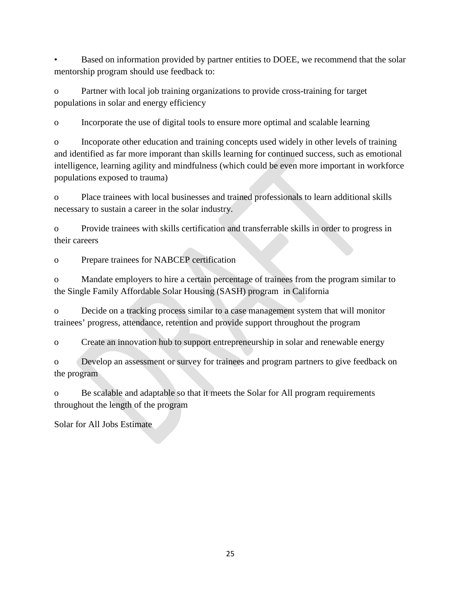Based on information provided by partner entities to DOEE, we recommend that the solar mentorship program should use feedback to:

o Partner with local job training organizations to provide cross-training for target populations in solar and energy efficiency

o Incorporate the use of digital tools to ensure more optimal and scalable learning

o Incoporate other education and training concepts used widely in other levels of training and identified as far more imporant than skills learning for continued success, such as emotional intelligence, learning agility and mindfulness (which could be even more important in workforce populations exposed to trauma)

o Place trainees with local businesses and trained professionals to learn additional skills necessary to sustain a career in the solar industry.

o Provide trainees with skills certification and transferrable skills in order to progress in their careers

o Prepare trainees for NABCEP certification

o Mandate employers to hire a certain percentage of trainees from the program similar to the Single Family Affordable Solar Housing (SASH) program in California

o Decide on a tracking process similar to a case management system that will monitor trainees' progress, attendance, retention and provide support throughout the program

o Create an innovation hub to support entrepreneurship in solar and renewable energy

o Develop an assessment or survey for trainees and program partners to give feedback on the program

o Be scalable and adaptable so that it meets the Solar for All program requirements throughout the length of the program

Solar for All Jobs Estimate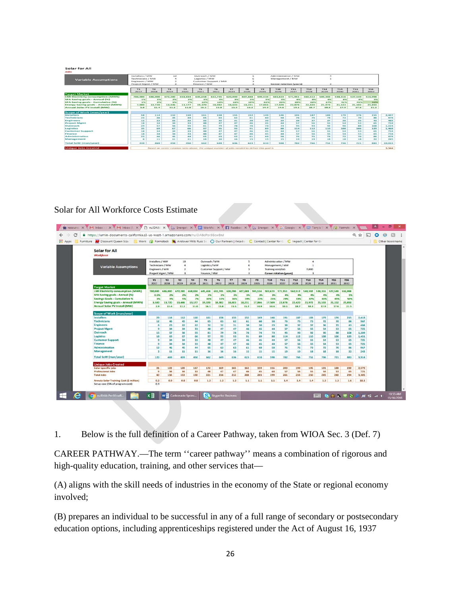#### Solar for All

|                                            | Installers / MW   |                  | 10              |         | Outreach / MW         |                 |                | Administration / MW |         |                 |                                |         |            |         |         |         |        |  |
|--------------------------------------------|-------------------|------------------|-----------------|---------|-----------------------|-----------------|----------------|---------------------|---------|-----------------|--------------------------------|---------|------------|---------|---------|---------|--------|--|
| <b>Variable Assumptions</b>                |                   | Technicians / MW |                 |         | Logistics / MW        |                 |                |                     |         | Management / MW |                                |         |            |         |         |         |        |  |
|                                            | Engineers / MW    |                  |                 |         | Customer Support / MW |                 |                |                     |         |                 |                                |         |            |         |         |         |        |  |
|                                            | Project Mgmt / MW |                  |                 |         | Finance / MW          |                 |                |                     |         |                 | <b>Career rotation (years)</b> |         | ×.         |         |         |         |        |  |
|                                            | Y1                | Y <sub>2</sub>   | Y3              | Y4      | Y5                    | Y6              | <b>Y7</b>      | Y8                  | Y9      | <b>Y10</b>      | Y11                            | Y12     | <b>Y13</b> | Y14     | Y15     | Y16     |        |  |
|                                            | 2017              | 2018             | 2019            | 2020    | 2023                  | 2022            | 2023           | 2024                | 2025    | 2026            | 2027                           | 2028    | 2029       | 2030    | 2031    | 2032    |        |  |
| <b>Target Market</b>                       |                   |                  |                 |         |                       |                 |                |                     |         |                 |                                |         |            |         |         |         |        |  |
| <b>LMI Electricity consumption (MWh)</b>   | 700,000           | 686,000          | 672.280         | 658,834 | 645,658               | 632.745         | 620.090        | 607.688             | 595.534 | 583.623         | 571.951                        | 560.512 | 549.302    | 538,316 | 527.549 | 516,998 |        |  |
| SFA Saving goals - Annual (%)              | 1%                | 2%               | 2%              | 2%      | 3%                    | 3%              | 3%             | 3%                  | 3%      | 336             | 436                            | 436     | 434        | 436     | 434     | 5%      |        |  |
| SFA Saving goals - Cumulative (%)          | 126               | 3.50             | 5556            | 7%      | 10%                   | 1.3%            | 16%            | 19%                 | 22%     | 2.5%            | 29%                            | 33%     | 37%        | 41%     | 45%     | 50%     |        |  |
| <b>Energy Saving goals - Annulal (MWh)</b> | 7,000             | 13,720           | 13,446          | 13,177  | 19,370                | 18,982          | 18,603         | 18,231              | 17,866  | 17,509          | 22,878                         | 22,420  | 21,972     | 21,533  | 21,102  | 25,850  |        |  |
| <b>Annual Solar PV Install (MW)</b>        | S, B              | 11.4             | 11.2            | 11.0    | 16.1                  | 15.8            | <b>15.5</b>    | 15.2                | 14.9    | 14.6            | 19.1                           | 18.7    | 18.3       | 17.9    | 17.6    | 21.5    |        |  |
| <b>Scope of Work (man/year)</b>            |                   |                  |                 |         |                       |                 |                |                     |         |                 |                                |         |            |         |         |         |        |  |
| <b>Installers</b>                          | 58                | 114              | 112             | 110     | 161                   | 158             | 155            | 152                 | 149     | 146             | 191                            | 187     | 183        | 179     | 176     | 215     | 2,447  |  |
| Technicians                                | 28                | 46               | 436             | 44      | G St                  | 68              | G <sub>2</sub> | 61                  | 60      | 58              | 76                             | 75      | 78         | 72      | 70      | нс      |        |  |
| <b>Engineers</b>                           | 12                | 23               | 22              | 22      | 32                    | 32              | 31             | 30                  | 30      | 29              | 38                             | 37      | 37         | 36      | 35      | 43      |        |  |
| <b>Project Mgmt</b>                        | 1.8               | 34               | 34 <sub>3</sub> | 33      | 48                    | 47              | 47             | 46                  | 45.     | 44              | 57                             | 56      | <b>SS</b>  | sа      | 53      | GS.     |        |  |
| Outreach                                   | 29                | 57               | 56              | 55      | 81                    | 79              | 78             | 学校                  | 74      | 78              | 95                             | 43.75   | 92         | 90      | 88      | 108     | 1,224  |  |
| Logistics                                  | 35                | 69               | 67              | 66      | 97                    | 95              | 93             | 91                  | 89      | 88              | 114                            | 112     | 110        | 108     | 106     | 129     | 1,468  |  |
| <b>Customer Support</b>                    | 18                | 34               | 34              | 282     | 48                    | 47              | 47             | 46                  | 45      | 44              | 57                             | 5G      | 55         | 54      | 52      | GS.     |        |  |
| Finance                                    | 18                | 34               | 34              | 33      | 48                    | 47              | 47             | 46                  | 45      | 44              | 57                             | 56      | 55         | 54      | 53      | GS.     |        |  |
| <b>Administration</b>                      | 23                | 46               | $45 -$          | 44      | 6.5                   | GS3             | 62             | 61                  | 60      | 58              | 76                             | 75      | 73         | 72      | 70      | 86      |        |  |
| Management                                 | G.                | 11               | 11              | 11      | 16                    | 16 <sub>1</sub> | 16             | 15                  | 15      | 15              | 19                             | 19      | 18         | 18      | 18      | 22      |        |  |
| <b>Total SoW (man/year)</b>                | 239               | 469              | 459             | 450     | 662                   | 649             | 636            | 623                 | 610     | 598             | 782                            | 766     | 751        | 736     | 721     | 883     | 10,033 |  |

#### Solar for All Workforce Costs Estimate

| Furniture <b>AF</b> Discount Queen Size   Work C Formstack <b>&amp;</b> Andover Mills Russ Se   O Our Partners   Arcadin   C Contact   Center for G C   Impact   Center for G |                                                                                   |                            |                                                               |                      |                                                                          |                             |                       |                                                              |                       |                                                                                                                                               |               |                       |                             |                       |                       |                     |                | Other bookmarks |
|-------------------------------------------------------------------------------------------------------------------------------------------------------------------------------|-----------------------------------------------------------------------------------|----------------------------|---------------------------------------------------------------|----------------------|--------------------------------------------------------------------------|-----------------------------|-----------------------|--------------------------------------------------------------|-----------------------|-----------------------------------------------------------------------------------------------------------------------------------------------|---------------|-----------------------|-----------------------------|-----------------------|-----------------------|---------------------|----------------|-----------------|
| <b>Solar for All</b><br><b>Workforce</b>                                                                                                                                      |                                                                                   |                            |                                                               |                      |                                                                          |                             |                       |                                                              |                       |                                                                                                                                               |               |                       |                             |                       |                       |                     |                |                 |
| <b>Variable Assumptions</b>                                                                                                                                                   | Installers / MW<br><b>Technicians / MW</b><br>Engineers / MW<br>Project Mgmt / MW |                            | 10<br>a<br>$\overline{\mathbf{z}}$<br>$\overline{\mathbf{z}}$ |                      | Outreach / MW<br>Logistics / MW<br>Customer Support / MW<br>Finance / MW |                             |                       | 5<br>6<br>$\overline{\mathbf{3}}$<br>$\overline{\mathbf{3}}$ |                       | Administration / MW<br>a<br>Management / MW<br>$\mathbf{1}$<br>Training cost/Job<br>7,000<br><b>Career rotation (years)</b><br>$\overline{a}$ |               |                       |                             |                       |                       |                     |                |                 |
|                                                                                                                                                                               | Y1<br>2017                                                                        | Y2<br>2018                 | Y3<br>2019                                                    | <b>Y4</b><br>2020    | Y5<br>2021                                                               | Y6<br>2022                  | YZ<br>2023            | Y8<br>2024                                                   | Y9<br>2025            | <b>Y10</b><br>2026                                                                                                                            | Y11<br>2027   | <b>Y12</b><br>2028    | Y13<br>2029                 | <b>Y14</b><br>2030    | <b>Y15</b><br>2031    | <b>Y16</b><br>2032  |                |                 |
| <b>Target Market</b><br><b>LMI Electricity consumption (MWh)</b><br><b>SFA Saving goals - Annual (%)</b>                                                                      | 700,000<br>0.5%                                                                   | 686,000                    | 672.280<br>2%                                                 | 658.834<br>2%        | 645,658                                                                  | 632.745                     | 620.090<br>3%         | 607,688<br>3%                                                | 595,534<br>3%         | 583,623                                                                                                                                       | 571,951<br>4% | <b>560, S12</b><br>4% | 549,302                     | 538,316<br>4%         | 527,549<br>4%         | 516,998             |                |                 |
| <b>Savings Goals - Cumulative %</b><br><b>Energy Saving goals - Annual (MWh)</b><br><b>Annual Solar PV Install (MW)</b>                                                       | 1%<br>3,500<br>2.9                                                                | 2%<br>3%<br>13,720<br>11.4 | 5%<br>13,446<br>11.2                                          | 7%<br>13,177<br>11.0 | 3%<br>10%<br>19,370<br>16.1                                              | 3%<br>13%<br>18,982<br>15.8 | 16%<br>18,603<br>15.5 | 19%<br>18,231                                                | 22%<br>17,866<br>14.9 | 3%<br>25%<br><b>17,509</b><br>14.6                                                                                                            | 29%<br>22,878 | 33%<br>22,420<br>18.7 | 4%<br>37%<br>21,972<br>18.3 | 41%<br>21,533<br>17.9 | 45%<br>21,102<br>17.6 | 5%<br>50%<br>25,850 |                |                 |
| <b>Scope of Work (man/year)</b>                                                                                                                                               |                                                                                   |                            |                                                               |                      |                                                                          |                             |                       | 15.2                                                         |                       |                                                                                                                                               | 19.1          |                       |                             |                       |                       | 21.5                |                |                 |
| Installers<br><b>Technicians</b>                                                                                                                                              | 29<br>12                                                                          | 114<br>46                  | 112<br>45                                                     | 110<br>44            | 161<br>65                                                                | 158<br>63                   | 155<br>62             | 152<br>61                                                    | 149<br>60             | 146<br>58                                                                                                                                     | 191<br>76     | 187<br>75             | 183<br>73                   | 179<br>72             | 176<br>70             | 215<br>86           | 2,418<br>967   |                 |
| <b>Engineers</b><br><b>Project Mgmt</b>                                                                                                                                       | $\epsilon$<br>$\alpha$                                                            | 23<br>34                   | 22<br>34                                                      | 22<br>33             | 32<br>48                                                                 | 32<br>47                    | 31<br>47              | 30<br>46                                                     | 30<br>45              | 29<br>44                                                                                                                                      | 38<br>57      | 37<br>56              | 37<br>55                    | 36<br>54              | 35<br>53              | 43<br>65            | 484<br>725     |                 |
| Outreach<br><b>Logistics</b>                                                                                                                                                  | 15<br>18                                                                          | 57<br>69                   | 56<br>67                                                      | 55<br>66             | 81<br>97                                                                 | 79<br>95                    | 78<br>93              | 76<br>91                                                     | 74<br>89              | 73<br>88                                                                                                                                      | 95<br>114     | 93<br>112             | 92<br>110                   | 90<br>108             | 88<br>106             | 108<br>129          | 1,209<br>1,451 |                 |
| <b>Customer Support</b><br>Finance                                                                                                                                            | $\circ$<br>$\theta$                                                               | 34<br>34                   | 34<br>34                                                      | 33<br>33             | 48<br>48                                                                 | 47<br>47                    | 47<br>47              | 46<br>46                                                     | 45<br>45              | 44<br>44                                                                                                                                      | 57<br>57      | 56<br>56              | 55<br>55                    | 54<br>54              | 53<br>53              | 65<br>65            | 725<br>725     |                 |
| <b>Administration</b><br>Management                                                                                                                                           | 12<br>$\mathbf{R}$                                                                | 46<br>11                   | 45<br>11                                                      | 44<br>11             | 65<br>16                                                                 | 63<br>16                    | 62<br>16              | 61<br>15                                                     | 60<br>15              | 58<br>15                                                                                                                                      | 76<br>19      | 75<br>19              | 73<br>18                    | 72<br>18              | 70<br>18              | 86<br>22            | 967<br>242     |                 |
| <b>Total SoW</b> (man/year)                                                                                                                                                   | 120                                                                               | 469                        | 459                                                           | 450                  | 662                                                                      | 649                         | 636                   | 623                                                          | 610                   | 598                                                                                                                                           | 782           | 766                   | 751                         | 736                   | 721                   | 883                 | 9,914          |                 |
| <b>Unique Jobs Created</b><br>Solar-specific jobs<br><b>Professional Jobs</b>                                                                                                 | 31<br>$\overline{9}$                                                              | 122<br>34                  | 120<br>34                                                     | 117<br>33            | 172<br>48                                                                | 169<br>47                   | 165<br>47             | 162<br>46                                                    | 159<br>45             | 156<br>44                                                                                                                                     | 203<br>57     | 199<br>56             | 195<br>55                   | 191<br>54             | 188                   | 230                 | 2,579          |                 |
| <b>Total Jobs</b>                                                                                                                                                             | 40                                                                                | 156                        | 153                                                           | 150                  | 221                                                                      | 216                         | 212                   | 208                                                          | 203                   | 199                                                                                                                                           | 261           | 255                   | 250                         | 245                   | 53<br>240             | 65<br>294           | 725<br>3,305   |                 |
| <b>Annula Solar Training Cost (\$ million)</b><br>Setup cost (5% of program cost)                                                                                             | 0.2<br>0.9                                                                        | 0.9                        | 0.8                                                           | 0.8                  | 1.2                                                                      | 1.2                         | 1.2                   | 1.1                                                          | 1.1                   | 1.1                                                                                                                                           | 1.4           | 1.4                   | 1.4                         | 1.3                   | 1.3                   | 1.6                 | 18.1           |                 |

1. Below is the full definition of a Career Pathway, taken from WIOA Sec. 3 (Def. 7)

CAREER PATHWAY.—The term ''career pathway'' means a combination of rigorous and high-quality education, training, and other services that—

(A) aligns with the skill needs of industries in the economy of the State or regional economy involved;

(B) prepares an individual to be successful in any of a full range of secondary or postsecondary education options, including apprenticeships registered under the Act of August 16, 1937